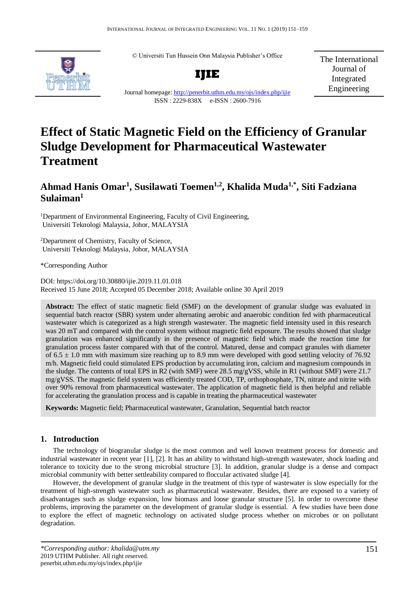© Universiti Tun Hussein Onn Malaysia Publisher's Office



**IJIE** Journal homepage:<http://penerbit.uthm.edu.my/ojs/index.php/ijie> ISSN : 2229-838X e-ISSN : 2600-7916

The International Journal of Integrated Engineering

# **Effect of Static Magnetic Field on the Efficiency of Granular Sludge Development for Pharmaceutical Wastewater Treatment**

# **Ahmad Hanis Omar<sup>1</sup> , Susilawati Toemen1,2, Khalida Muda1,\* , Siti Fadziana Sulaiman<sup>1</sup>**

<sup>1</sup>Department of Environmental Engineering, Faculty of Civil Engineering, Universiti Teknologi Malaysia, Johor, MALAYSIA

<sup>2</sup>Department of Chemistry, Faculty of Science, Universiti Teknologi Malaysia, Johor, MALAYSIA

\*Corresponding Author

DOI: https://doi.org/10.30880/ijie.2019.11.01.018 Received 15 June 2018; Accepted 05 December 2018; Available online 30 April 2019

**Abstract:** The effect of static magnetic field (SMF) on the development of granular sludge was evaluated in sequential batch reactor (SBR) system under alternating aerobic and anaerobic condition fed with pharmaceutical wastewater which is categorized as a high strength wastewater. The magnetic field intensity used in this research was 20 mT and compared with the control system without magnetic field exposure. The results showed that sludge granulation was enhanced significantly in the presence of magnetic field which made the reaction time for granulation process faster compared with that of the control. Matured, dense and compact granules with diameter of 6.5  $\pm$  1.0 mm with maximum size reaching up to 8.9 mm were developed with good settling velocity of 76.92 m/h. Magnetic field could stimulated EPS production by accumulating iron, calcium and magnesium compounds in the sludge. The contents of total EPS in R2 (with SMF) were 28.5 mg/gVSS, while in R1 (without SMF) were 21.7 mg/gVSS. The magnetic field system was efficiently treated COD, TP, orthophosphate, TN, nitrate and nitrite with over 90% removal from pharmaceutical wastewater. The application of magnetic field is then helpful and reliable for accelerating the granulation process and is capable in treating the pharmaceutical wastewater

**Keywords:** Magnetic field; Pharmaceutical wastewater, Granulation, Sequential batch reactor

# **1. Introduction**

The technology of biogranular sludge is the most common and well known treatment process for domestic and industrial wastewater in recent year [1], [2]. It has an ability to withstand high-strength wastewater, shock loading and tolerance to toxicity due to the strong microbial structure [3]. In addition, granular sludge is a dense and compact microbial community with better settleability compared to floccular activated sludge [4].

However, the development of granular sludge in the treatment of this type of wastewater is slow especially for the treatment of high-strength wastewater such as pharmaceutical wastewater. Besides, there are exposed to a variety of disadvantages such as sludge expansion, low biomass and loose granular structure [5]. In order to overcome these problems, improving the parameter on the development of granular sludge is essential. A few studies have been done to explore the effect of magnetic technology on activated sludge process whether on microbes or on pollutant degradation.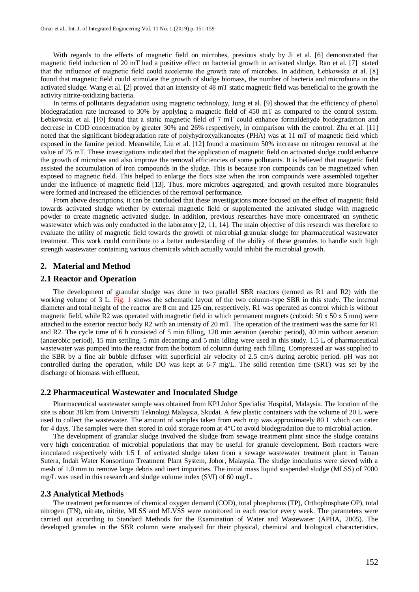With regards to the effects of magnetic field on microbes, previous study by Ji et al. [6] demonstrated that magnetic field induction of 20 mT had a positive effect on bacterial growth in activated sludge. Rao et al. [7] stated that the influence of magnetic field could accelerate the growth rate of microbes. In addition, Łebkowska et al. [8] found that magnetic field could stimulate the growth of sludge biomass, the number of bacteria and microfauna in the activated sludge. Wang et al. [2] proved that an intensity of 48 mT static magnetic field was beneficial to the growth the activity nitrite-oxidizing bacteria.

In terms of pollutants degradation using magnetic technology, Jung et al. [9] showed that the efficiency of phenol biodegradation rate increased to 30% by applying a magnetic field of 450 mT as compared to the control system. Łebkowska et al. [10] found that a static magnetic field of 7 mT could enhance formaldehyde biodegradation and decrease in COD concentration by greater 30% and 26% respectively, in comparison with the control. Zhu et al. [11] noted that the significant biodegradation rate of polyhydroxyalkanoates (PHA) was at 11 mT of magnetic field which exposed in the famine period. Meanwhile, Liu et al. [12] found a maximum 50% increase on nitrogen removal at the value of 75 mT. These investigations indicated that the application of magnetic field on activated sludge could enhance the growth of microbes and also improve the removal efficiencies of some pollutants. It is believed that magnetic field assisted the accumulation of iron compounds in the sludge. This is because iron compounds can be magnetized when exposed to magnetic field. This helped to enlarge the flocs size when the iron compounds were assembled together under the influence of magnetic field [13]. Thus, more microbes aggregated, and growth resulted more biogranules were formed and increased the efficiencies of the removal performance.

From above descriptions, it can be concluded that these investigations more focused on the effect of magnetic field towards activated sludge whether by external magnetic field or supplemented the activated sludge with magnetic powder to create magnetic activated sludge. In addition, previous researches have more concentrated on synthetic wastewater which was only conducted in the laboratory [2, 11, 14]. The main objective of this research was therefore to evaluate the utility of magnetic field towards the growth of microbial granular sludge for pharmaceutical wastewater treatment. This work could contribute to a better understanding of the ability of these granules to handle such high strength wastewater containing various chemicals which actually would inhibit the microbial growth.

#### **2. Material and Method**

#### **2.1 Reactor and Operation**

The development of granular sludge was done in two parallel SBR reactors (termed as R1 and R2) with the working volume of 3 L. Fig. 1 shows the schematic layout of the two column-type SBR in this study. The internal diameter and total height of the reactor are 8 cm and 125 cm, respectively. R1 was operated as control which is without magnetic field, while R2 was operated with magnetic field in which permanent magnets (cuboid:  $50 \times 50 \times 5$  mm) were attached to the exterior reactor body R2 with an intensity of 20 mT. The operation of the treatment was the same for R1 and R2. The cycle time of 6 h consisted of 5 min filling, 120 min aeration (aerobic period), 40 min without aeration (anaerobic period), 15 min settling, 5 min decanting and 5 min idling were used in this study. 1.5 L of pharmaceutical wastewater was pumped into the reactor from the bottom of column during each filling. Compressed air was supplied to the SBR by a fine air bubble diffuser with superficial air velocity of 2.5 cm/s during aerobic period. pH was not controlled during the operation, while DO was kept at 6-7 mg/L. The solid retention time (SRT) was set by the discharge of biomass with effluent.

#### **2.2 Pharmaceutical Wastewater and Inoculated Sludge**

Pharmaceutical wastewater sample was obtained from KPJ Johor Specialist Hospital, Malaysia. The location of the site is about 38 km from Universiti Teknologi Malaysia, Skudai. A few plastic containers with the volume of 20 L were used to collect the wastewater. The amount of samples taken from each trip was approximately 80 L which can cater for 4 days. The samples were then stored in cold storage room at 4°C to avoid biodegradation due to microbial action.

The development of granular sludge involved the sludge from sewage treatment plant since the sludge contains very high concentration of microbial populations that may be useful for granule development. Both reactors were inoculated respectively with 1.5 L of activated sludge taken from a sewage wastewater treatment plant in Taman Sutera, Indah Water Konsortium Treatment Plant System, Johor, Malaysia. The sludge inoculums were sieved with a mesh of 1.0 mm to remove large debris and inert impurities. The initial mass liquid suspended sludge (MLSS) of 7000 mg/L was used in this research and sludge volume index (SVI) of 60 mg/L.

#### **2.3 Analytical Methods**

The treatment performances of chemical oxygen demand (COD), total phosphorus (TP), Orthophosphate OP), total nitrogen (TN), nitrate, nitrite, MLSS and MLVSS were monitored in each reactor every week. The parameters were carried out according to Standard Methods for the Examination of Water and Wastewater (APHA, 2005). The developed granules in the SBR column were analysed for their physical, chemical and biological characteristics.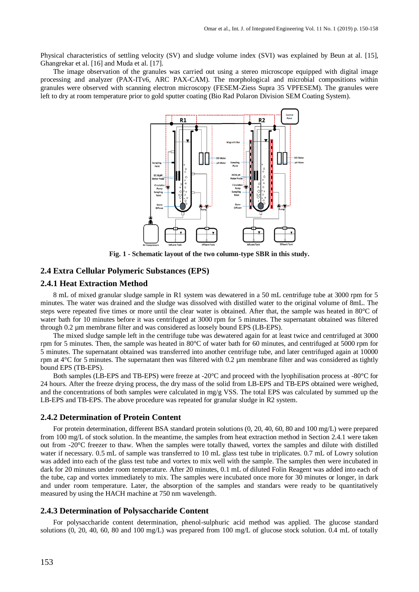Physical characteristics of settling velocity (SV) and sludge volume index (SVI) was explained by Beun at al. [15], Ghangrekar et al. [16] and Muda et al. [17].

The image observation of the granules was carried out using a stereo microscope equipped with digital image processing and analyzer (PAX-ITv6, ARC PAX-CAM). The morphological and microbial compositions within granules were observed with scanning electron microscopy (FESEM-Ziess Supra 35 VPFESEM). The granules were left to dry at room temperature prior to gold sputter coating (Bio Rad Polaron Division SEM Coating System).



**Fig. 1 - Schematic layout of the two column-type SBR in this study.**

# **2.4 Extra Cellular Polymeric Substances (EPS)**

# **2.4.1 Heat Extraction Method**

8 mL of mixed granular sludge sample in R1 system was dewatered in a 50 mL centrifuge tube at 3000 rpm for 5 minutes. The water was drained and the sludge was dissolved with distilled water to the original volume of 8mL. The steps were repeated five times or more until the clear water is obtained. After that, the sample was heated in 80°C of water bath for 10 minutes before it was centrifuged at 3000 rpm for 5 minutes. The supernatant obtained was filtered through 0.2 µm membrane filter and was considered as loosely bound EPS (LB-EPS).

The mixed sludge sample left in the centrifuge tube was dewatered again for at least twice and centrifuged at 3000 rpm for 5 minutes. Then, the sample was heated in 80°C of water bath for 60 minutes, and centrifuged at 5000 rpm for 5 minutes. The supernatant obtained was transferred into another centrifuge tube, and later centrifuged again at 10000 rpm at  $4^{\circ}$ C for 5 minutes. The supernatant then was filtered with 0.2 µm membrane filter and was considered as tightly bound EPS (TB-EPS).

Both samples (LB-EPS and TB-EPS) were freeze at -20°C and proceed with the lyophilisation process at -80°C for 24 hours. After the freeze drying process, the dry mass of the solid from LB-EPS and TB-EPS obtained were weighed, and the concentrations of both samples were calculated in mg/g VSS. The total EPS was calculated by summed up the LB-EPS and TB-EPS. The above procedure was repeated for granular sludge in R2 system.

#### **2.4.2 Determination of Protein Content**

For protein determination, different BSA standard protein solutions (0, 20, 40, 60, 80 and 100 mg/L) were prepared from 100 mg/L of stock solution. In the meantime, the samples from heat extraction method in Section 2.4.1 were taken out from -20°C freezer to thaw. When the samples were totally thawed, vortex the samples and dilute with distilled water if necessary. 0.5 mL of sample was transferred to 10 mL glass test tube in triplicates. 0.7 mL of Lowry solution was added into each of the glass test tube and vortex to mix well with the sample. The samples then were incubated in dark for 20 minutes under room temperature. After 20 minutes, 0.1 mL of diluted Folin Reagent was added into each of the tube, cap and vortex immediately to mix. The samples were incubated once more for 30 minutes or longer, in dark and under room temperature. Later, the absorption of the samples and standars were ready to be quantitatively measured by using the HACH machine at 750 nm wavelength.

## **2.4.3 Determination of Polysaccharide Content**

For polysaccharide content determination, phenol-sulphuric acid method was applied. The glucose standard solutions  $(0, 20, 40, 60, 80, 40, 60, 80, 40)$  mg/L) was prepared from 100 mg/L of glucose stock solution. 0.4 mL of totally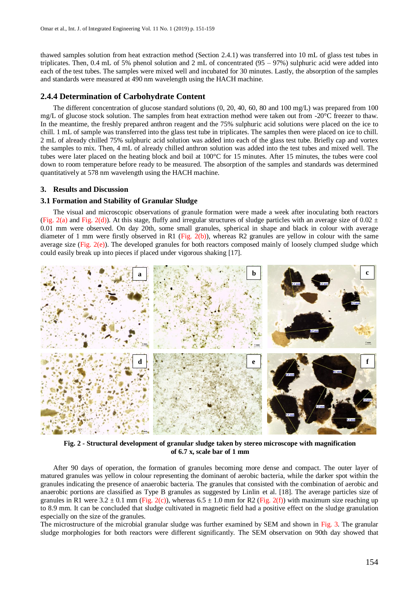thawed samples solution from heat extraction method (Section 2.4.1) was transferred into 10 mL of glass test tubes in triplicates. Then, 0.4 mL of 5% phenol solution and 2 mL of concentrated ( $95 - 97$ %) sulphuric acid were added into each of the test tubes. The samples were mixed well and incubated for 30 minutes. Lastly, the absorption of the samples and standards were measured at 490 nm wavelength using the HACH machine.

#### **2.4.4 Determination of Carbohydrate Content**

The different concentration of glucose standard solutions (0, 20, 40, 60, 80 and 100 mg/L) was prepared from 100 mg/L of glucose stock solution. The samples from heat extraction method were taken out from -20°C freezer to thaw. In the meantime, the freshly prepared anthron reagent and the 75% sulphuric acid solutions were placed on the ice to chill. 1 mL of sample was transferred into the glass test tube in triplicates. The samples then were placed on ice to chill. 2 mL of already chilled 75% sulphuric acid solution was added into each of the glass test tube. Briefly cap and vortex the samples to mix. Then, 4 mL of already chilled anthron solution was added into the test tubes and mixed well. The tubes were later placed on the heating block and boil at 100°C for 15 minutes. After 15 minutes, the tubes were cool down to room temperature before ready to be measured. The absorption of the samples and standards was determined quantitatively at 578 nm wavelength using the HACH machine.

#### **3. Results and Discussion**

#### **3.1 Formation and Stability of Granular Sludge**

The visual and microscopic observations of granule formation were made a week after inoculating both reactors (Fig. 2(a) and Fig. 2(d)). At this stage, fluffy and irregular structures of sludge particles with an average size of 0.02  $\pm$ 0.01 mm were observed. On day 20th, some small granules, spherical in shape and black in colour with average diameter of 1 mm were firstly observed in R1 (Fig. 2(b)), whereas R2 granules are yellow in colour with the same average size (Fig.  $2(e)$ ). The developed granules for both reactors composed mainly of loosely clumped sludge which could easily break up into pieces if placed under vigorous shaking [17].



**Fig. 2 - Structural development of granular sludge taken by stereo microscope with magnification of 6.7 x, scale bar of 1 mm**

After 90 days of operation, the formation of granules becoming more dense and compact. The outer layer of matured granules was yellow in colour representing the dominant of aerobic bacteria, while the darker spot within the granules indicating the presence of anaerobic bacteria. The granules that consisted with the combination of aerobic and anaerobic portions are classified as Type B granules as suggested by Linlin et al. [18]. The average particles size of granules in R1 were  $3.2 \pm 0.1$  mm (Fig. 2(c)), whereas  $6.5 \pm 1.0$  mm for R2 (Fig. 2(f)) with maximum size reaching up to 8.9 mm. It can be concluded that sludge cultivated in magnetic field had a positive effect on the sludge granulation especially on the size of the granules.

The microstructure of the microbial granular sludge was further examined by SEM and shown in Fig. 3. The granular sludge morphologies for both reactors were different significantly. The SEM observation on 90th day showed that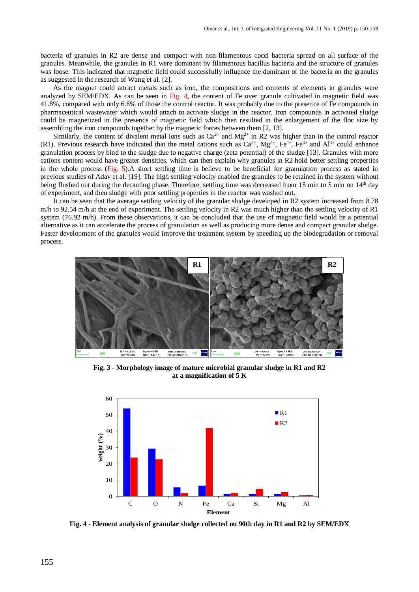bacteria of granules in R2 are dense and compact with non-filamentous cocci bacteria spread on all surface of the granules. Meanwhile, the granules in R1 were dominant by filamentous bacillus bacteria and the structure of granules was loose. This indicated that magnetic field could successfully influence the dominant of the bacteria on the granules as suggested in the research of Wang et al. [2].

As the magnet could attract metals such as iron, the compositions and contents of elements in granules were analyzed by SEM/EDX. As can be seen in Fig. 4, the content of Fe over granule cultivated in magnetic field was 41.8%, compared with only 6.6% of those the control reactor. It was probably due to the presence of Fe compounds in pharmaceutical wastewater which would attach to activate sludge in the reactor. Iron compounds in activated sludge could be magnetized in the presence of magnetic field which then resulted in the enlargement of the floc size by assembling the iron compounds together by the magnetic forces between them [2, 13].

Similarly, the content of divalent metal ions such as  $Ca^{2+}$  and  $Mg^{2+}$  in R2 was higher than in the control reactor (R1). Previous research have indicated that the metal cations such as  $Ca^{2+}$ ,  $Mg^{2+}$ ,  $Fe^{2+}$ ,  $Fe^{2+}$  and  $Al^{3+}$  could enhance granulation process by bind to the sludge due to negative charge (zeta potential) of the sludge [13]. Granules with more cations content would have greater densities, which can then explain why granules in R2 hold better settling properties in the whole process (Fig. 5).A short settling time is believe to be beneficial for granulation process as stated in previous studies of Adav et al. [19]. The high settling velocity enabled the granules to be retained in the system without being flushed out during the decanting phase. Therefore, settling time was decreased from 15 min to 5 min on 14<sup>th</sup> day of experiment, and then sludge with poor settling properties in the reactor was washed out.

It can be seen that the average settling velocity of the granular sludge developed in R2 system increased from 8.78 m/h to 92.54 m/h at the end of experiment. The settling velocity in R2 was much higher than the settling velocity of R1 system (76.92 m/h). From these observations, it can be concluded that the use of magnetic field would be a potential alternative as it can accelerate the process of granulation as well as producing more dense and compact granular sludge. Faster development of the granules would improve the treatment system by speeding up the biodegradation or removal process.



**Fig. 3 - Morphology image of mature microbial granular sludge in R1 and R2 at a magnification of 5 K**



**Fig. 4 - Element analysis of granular sludge collected on 90th day in R1 and R2 by SEM/EDX**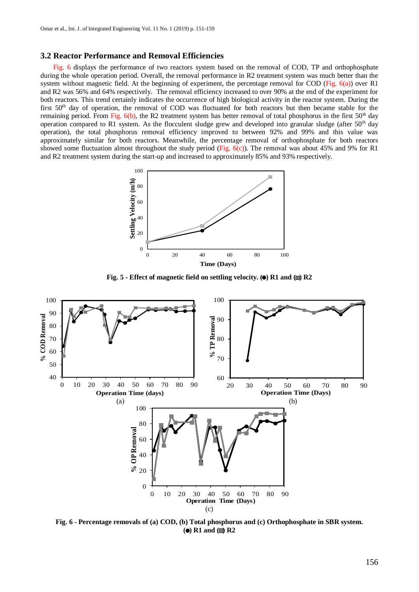## **3.2 Reactor Performance and Removal Efficiencies**

Fig. 6 displays the performance of two reactors system based on the removal of COD, TP and orthophosphate during the whole operation period. Overall, the removal performance in R2 treatment system was much better than the system without magnetic field. At the beginning of experiment, the percentage removal for COD (Fig.  $6(a)$ ) over R1 and R2 was 56% and 64% respectively. The removal efficiency increased to over 90% at the end of the experiment for both reactors. This trend certainly indicates the occurrence of high biological activity in the reactor system. During the first 50<sup>th</sup> day of operation, the removal of COD was fluctuated for both reactors but then became stable for the remaining period. From Fig.  $6(b)$ , the R2 treatment system has better removal of total phosphorus in the first  $50<sup>th</sup>$  day operation compared to R1 system. As the flocculent sludge grew and developed into granular sludge (after  $50<sup>th</sup>$  day operation), the total phosphorus removal efficiency improved to between 92% and 99% and this value was approximately similar for both reactors. Meanwhile, the percentage removal of orthophosphate for both reactors showed some fluctuation almost throughout the study period (Fig. 6(c)). The removal was about 45% and 9% for R1 and R2 treatment system during the start-up and increased to approximately 85% and 93% respectively.



**Fig. 5 - Effect of magnetic field on settling velocity. (** $\bullet$ **) R1 and (** $\Box$ **) R2** 



**Fig. 6 - Percentage removals of (a) COD, (b) Total phosphorus and (c) Orthophosphate in SBR system. (a)** R1 and **(iii)** R2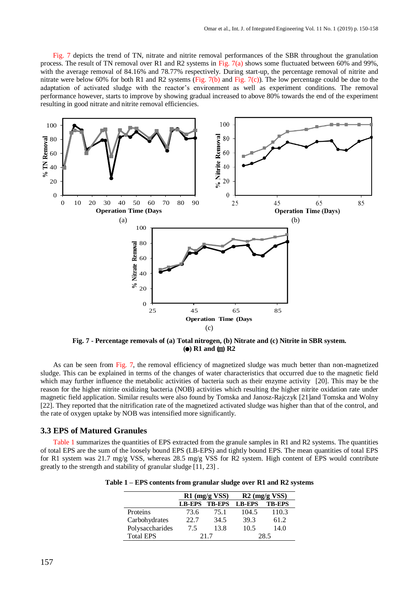Fig. 7 depicts the trend of TN, nitrate and nitrite removal performances of the SBR throughout the granulation process. The result of TN removal over R1 and R2 systems in Fig. 7(a) shows some fluctuated between 60% and 99%, with the average removal of 84.16% and 78.77% respectively. During start-up, the percentage removal of nitrite and nitrate were below 60% for both R1 and R2 systems (Fig. 7(b) and Fig. 7(c)). The low percentage could be due to the adaptation of activated sludge with the reactor's environment as well as experiment conditions. The removal performance however, starts to improve by showing gradual increased to above 80% towards the end of the experiment resulting in good nitrate and nitrite removal efficiencies.



**Fig. 7 - Percentage removals of (a) Total nitrogen, (b) Nitrate and (c) Nitrite in SBR system. (a)** R1 and **(iii)** R2

As can be seen from Fig. 7, the removal efficiency of magnetized sludge was much better than non-magnetized sludge. This can be explained in terms of the changes of water characteristics that occurred due to the magnetic field which may further influence the metabolic activities of bacteria such as their enzyme activity [20]. This may be the reason for the higher nitrite oxidizing bacteria (NOB) activities which resulting the higher nitrite oxidation rate under magnetic field application. Similar results were also found by Tomska and Janosz-Rajczyk [21]and Tomska and Wolny [22]. They reported that the nitrification rate of the magnetized activated sludge was higher than that of the control, and the rate of oxygen uptake by NOB was intensified more significantly.

#### **3.3 EPS of Matured Granules**

Table 1 summarizes the quantities of EPS extracted from the granule samples in R1 and R2 systems. The quantities of total EPS are the sum of the loosely bound EPS (LB-EPS) and tightly bound EPS. The mean quantities of total EPS for R1 system was 21.7 mg/g VSS, whereas 28.5 mg/g VSS for R2 system. High content of EPS would contribute greatly to the strength and stability of granular sludge [11, 23] .

| Table 1 – EPS contents from granular sludge over R1 and R2 systems |  |  |
|--------------------------------------------------------------------|--|--|
|--------------------------------------------------------------------|--|--|

|                  | $R1$ (mg/g VSS) |               | $R2$ (mg/g VSS) |               |
|------------------|-----------------|---------------|-----------------|---------------|
|                  | <b>LB-EPS</b>   | <b>TB-EPS</b> | <b>LB-EPS</b>   | <b>TB-EPS</b> |
| Proteins         | 73.6            | 75.1          | 104.5           | 110.3         |
| Carbohydrates    | 22.7            | 34.5          | 39.3            | 61.2          |
| Polysaccharides  | 7.5             | 13.8          | 10.5            | 14.0          |
| <b>Total EPS</b> | 21.7            |               | 28.5            |               |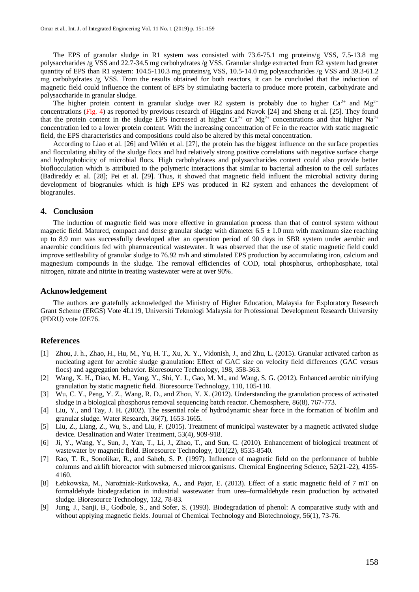The EPS of granular sludge in R1 system was consisted with 73.6-75.1 mg proteins/g VSS, 7.5-13.8 mg polysaccharides /g VSS and 22.7-34.5 mg carbohydrates /g VSS. Granular sludge extracted from R2 system had greater quantity of EPS than R1 system: 104.5-110.3 mg proteins/g VSS, 10.5-14.0 mg polysaccharides /g VSS and 39.3-61.2 mg carbohydrates /g VSS. From the results obtained for both reactors, it can be concluded that the induction of magnetic field could influence the content of EPS by stimulating bacteria to produce more protein, carbohydrate and polysaccharide in granular sludge.

The higher protein content in granular sludge over R2 system is probably due to higher  $Ca^{2+}$  and  $Mg^{2+}$ concentrations (Fig. 4) as reported by previous research of Higgins and Navok [24] and Sheng et al. [25]. They found that the protein content in the sludge EPS increased at higher  $Ca^{2+}$  or Mg<sup>2+</sup> concentrations and that higher Na<sup>2+</sup> concentration led to a lower protein content. With the increasing concentration of Fe in the reactor with static magnetic field, the EPS characteristics and compositions could also be altered by this metal concentration.

According to Liao et al. [26] and Wilén et al. [27], the protein has the biggest influence on the surface properties and flocculating ability of the sludge flocs and had relatively strong positive correlations with negative surface charge and hydrophobicity of microbial flocs. High carbohydrates and polysaccharides content could also provide better bioflocculation which is attributed to the polymeric interactions that similar to bacterial adhesion to the cell surfaces (Badireddy et al. [28]; Pei et al. [29]. Thus, it showed that magnetic field influent the microbial activity during development of biogranules which is high EPS was produced in R2 system and enhances the development of biogranules.

#### **4. Conclusion**

The induction of magnetic field was more effective in granulation process than that of control system without magnetic field. Matured, compact and dense granular sludge with diameter  $6.5 \pm 1.0$  mm with maximum size reaching up to 8.9 mm was successfully developed after an operation period of 90 days in SBR system under aerobic and anaerobic conditions fed with pharmaceutical wastewater. It was observed that the use of static magnetic field could improve settleability of granular sludge to 76.92 m/h and stimulated EPS production by accumulating iron, calcium and magnesium compounds in the sludge. The removal efficiencies of COD, total phosphorus, orthophosphate, total nitrogen, nitrate and nitrite in treating wastewater were at over 90%.

#### **Acknowledgement**

The authors are gratefully acknowledged the Ministry of Higher Education, Malaysia for Exploratory Research Grant Scheme (ERGS) Vote 4L119, Universiti Teknologi Malaysia for Professional Development Research University (PDRU) vote 02E76.

#### **References**

- [1] Zhou, J. h., Zhao, H., Hu, M., Yu, H. T., Xu, X. Y., Vidonish, J., and Zhu, L. (2015). Granular activated carbon as nucleating agent for aerobic sludge granulation: Effect of GAC size on velocity field differences (GAC versus flocs) and aggregation behavior. Bioresource Technology, 198, 358-363.
- [2] Wang, X. H., Diao, M. H., Yang, Y., Shi, Y. J., Gao, M. M., and Wang, S. G. (2012). Enhanced aerobic nitrifying granulation by static magnetic field. Bioresource Technology, 110, 105-110.
- [3] Wu, C. Y., Peng, Y. Z., Wang, R. D., and Zhou, Y. X. (2012). Understanding the granulation process of activated sludge in a biological phosphorus removal sequencing batch reactor. Chemosphere, 86(8), 767-773.
- [4] Liu, Y., and Tay, J. H. (2002). The essential role of hydrodynamic shear force in the formation of biofilm and granular sludge. Water Research, 36(7), 1653-1665.
- [5] Liu, Z., Liang, Z., Wu, S., and Liu, F. (2015). Treatment of municipal wastewater by a magnetic activated sludge device. Desalination and Water Treatment, 53(4), 909-918.
- [6] Ji, Y., Wang, Y., Sun, J., Yan, T., Li, J., Zhao, T., and Sun, C. (2010). Enhancement of biological treatment of wastewater by magnetic field. Bioresource Technology, 101(22), 8535-8540.
- [7] Rao, T. R., Sonolikar, R., and Saheb, S. P. (1997). Influence of magnetic field on the performance of bubble columns and airlift bioreactor with submersed microorganisms. Chemical Engineering Science, 52(21-22), 4155- 4160.
- [8] Łebkowska, M., Narożniak-Rutkowska, A., and Pajor, E. (2013). Effect of a static magnetic field of 7 mT on formaldehyde biodegradation in industrial wastewater from urea–formaldehyde resin production by activated sludge. Bioresource Technology, 132, 78-83.
- [9] Jung, J., Sanji, B., Godbole, S., and Sofer, S. (1993). Biodegradation of phenol: A comparative study with and without applying magnetic fields. Journal of Chemical Technology and Biotechnology, 56(1), 73-76.